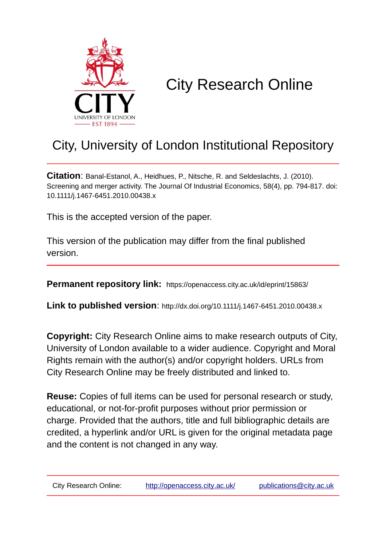

# City Research Online

# City, University of London Institutional Repository

**Citation**: Banal-Estanol, A., Heidhues, P., Nitsche, R. and Seldeslachts, J. (2010). Screening and merger activity. The Journal Of Industrial Economics, 58(4), pp. 794-817. doi: 10.1111/j.1467-6451.2010.00438.x

This is the accepted version of the paper.

This version of the publication may differ from the final published version.

**Permanent repository link:** https://openaccess.city.ac.uk/id/eprint/15863/

**Link to published version**: http://dx.doi.org/10.1111/j.1467-6451.2010.00438.x

**Copyright:** City Research Online aims to make research outputs of City, University of London available to a wider audience. Copyright and Moral Rights remain with the author(s) and/or copyright holders. URLs from City Research Online may be freely distributed and linked to.

**Reuse:** Copies of full items can be used for personal research or study, educational, or not-for-profit purposes without prior permission or charge. Provided that the authors, title and full bibliographic details are credited, a hyperlink and/or URL is given for the original metadata page and the content is not changed in any way.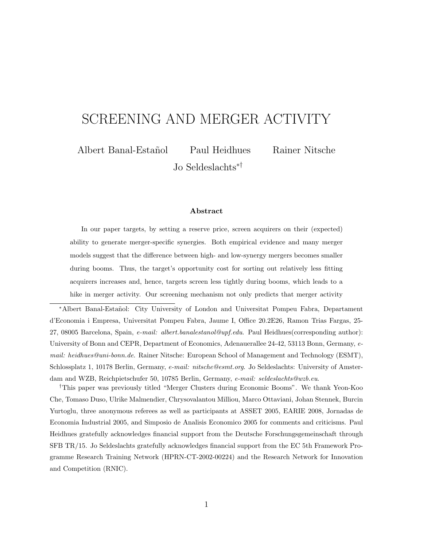# SCREENING AND MERGER ACTIVITY

Albert Banal-Estañol Paul Heidhues Rainer Nitsche

Jo Seldeslachts∗†

#### Abstract

In our paper targets, by setting a reserve price, screen acquirers on their (expected) ability to generate merger-specific synergies. Both empirical evidence and many merger models suggest that the difference between high- and low-synergy mergers becomes smaller during booms. Thus, the target's opportunity cost for sorting out relatively less fitting acquirers increases and, hence, targets screen less tightly during booms, which leads to a hike in merger activity. Our screening mechanism not only predicts that merger activity

<sup>∗</sup>Albert Banal-Esta˜nol: City University of London and Universitat Pompeu Fabra, Departament d'Economia i Empresa, Universitat Pompeu Fabra, Jaume I, Office 20.2E26, Ramon Trias Fargas, 25- 27, 08005 Barcelona, Spain, e-mail: albert.banalestanol@upf.edu. Paul Heidhues(corresponding author): University of Bonn and CEPR, Department of Economics, Adenauerallee 24-42, 53113 Bonn, Germany, email: heidhues@uni-bonn.de. Rainer Nitsche: European School of Management and Technology (ESMT), Schlossplatz 1, 10178 Berlin, Germany, e-mail: nitsche@esmt.org. Jo Seldeslachts: University of Amsterdam and WZB, Reichpietschufer 50, 10785 Berlin, Germany, e-mail: seldeslachts@wzb.eu.

†This paper was previously titled "Merger Clusters during Economic Booms". We thank Yeon-Koo Che, Tomaso Duso, Ulrike Malmendier, Chrysovalantou Milliou, Marco Ottaviani, Johan Stennek, Burcin Yurtoglu, three anonymous referees as well as participants at ASSET 2005, EARIE 2008, Jornadas de Economia Industrial 2005, and Simposio de Analisis Economico 2005 for comments and criticisms. Paul Heidhues gratefully acknowledges financial support from the Deutsche Forschungsgemeinschaft through SFB TR/15. Jo Seldeslachts gratefully acknowledges financial support from the EC 5th Framework Programme Research Training Network (HPRN-CT-2002-00224) and the Research Network for Innovation and Competition (RNIC).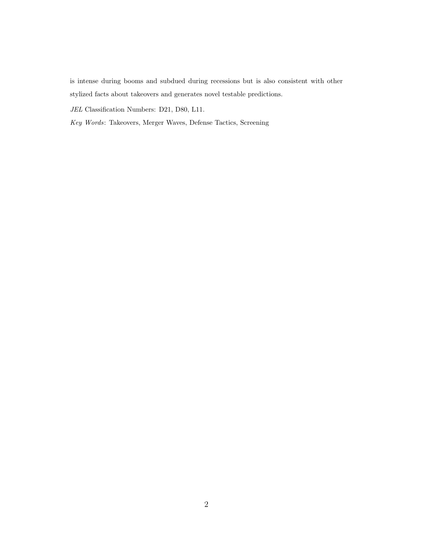is intense during booms and subdued during recessions but is also consistent with other stylized facts about takeovers and generates novel testable predictions.

JEL Classification Numbers: D21, D80, L11.

Key Words: Takeovers, Merger Waves, Defense Tactics, Screening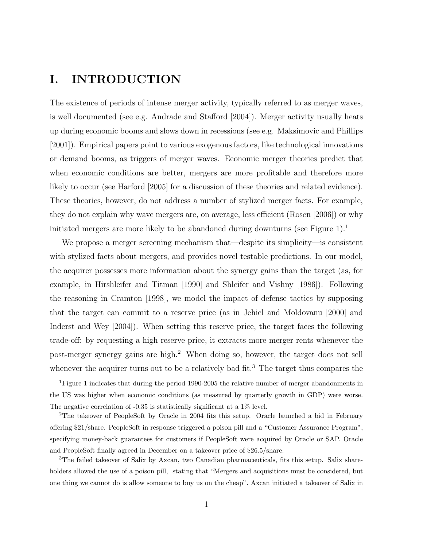# I. INTRODUCTION

The existence of periods of intense merger activity, typically referred to as merger waves, is well documented (see e.g. Andrade and Stafford [2004]). Merger activity usually heats up during economic booms and slows down in recessions (see e.g. Maksimovic and Phillips [2001]). Empirical papers point to various exogenous factors, like technological innovations or demand booms, as triggers of merger waves. Economic merger theories predict that when economic conditions are better, mergers are more profitable and therefore more likely to occur (see Harford [2005] for a discussion of these theories and related evidence). These theories, however, do not address a number of stylized merger facts. For example, they do not explain why wave mergers are, on average, less efficient (Rosen [2006]) or why initiated mergers are more likely to be abandoned during downturns (see Figure 1).<sup>1</sup>

We propose a merger screening mechanism that—despite its simplicity—is consistent with stylized facts about mergers, and provides novel testable predictions. In our model, the acquirer possesses more information about the synergy gains than the target (as, for example, in Hirshleifer and Titman [1990] and Shleifer and Vishny [1986]). Following the reasoning in Cramton [1998], we model the impact of defense tactics by supposing that the target can commit to a reserve price (as in Jehiel and Moldovanu [2000] and Inderst and Wey [2004]). When setting this reserve price, the target faces the following trade-off: by requesting a high reserve price, it extracts more merger rents whenever the post-merger synergy gains are high.<sup>2</sup> When doing so, however, the target does not sell whenever the acquirer turns out to be a relatively bad fit.<sup>3</sup> The target thus compares the

<sup>1</sup>Figure 1 indicates that during the period 1990-2005 the relative number of merger abandonments in the US was higher when economic conditions (as measured by quarterly growth in GDP) were worse. The negative correlation of -0.35 is statistically significant at a 1% level.

<sup>&</sup>lt;sup>2</sup>The takeover of PeopleSoft by Oracle in 2004 fits this setup. Oracle launched a bid in February offering \$21/share. PeopleSoft in response triggered a poison pill and a "Customer Assurance Program", specifying money-back guarantees for customers if PeopleSoft were acquired by Oracle or SAP. Oracle and PeopleSoft finally agreed in December on a takeover price of \$26.5/share.

<sup>&</sup>lt;sup>3</sup>The failed takeover of Salix by Axcan, two Canadian pharmaceuticals, fits this setup. Salix shareholders allowed the use of a poison pill, stating that "Mergers and acquisitions must be considered, but one thing we cannot do is allow someone to buy us on the cheap". Axcan initiated a takeover of Salix in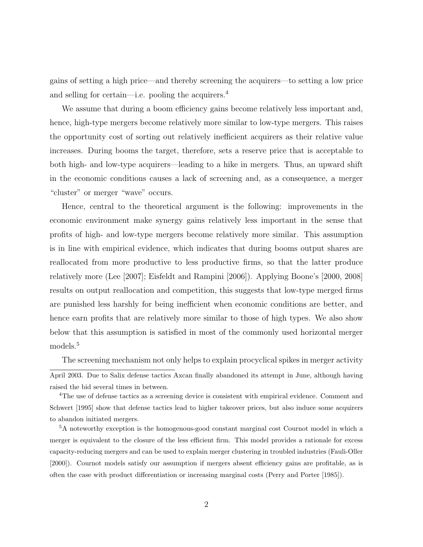gains of setting a high price—and thereby screening the acquirers—to setting a low price and selling for certain—i.e. pooling the acquirers.<sup>4</sup>

We assume that during a boom efficiency gains become relatively less important and, hence, high-type mergers become relatively more similar to low-type mergers. This raises the opportunity cost of sorting out relatively inefficient acquirers as their relative value increases. During booms the target, therefore, sets a reserve price that is acceptable to both high- and low-type acquirers—leading to a hike in mergers. Thus, an upward shift in the economic conditions causes a lack of screening and, as a consequence, a merger "cluster" or merger "wave" occurs.

Hence, central to the theoretical argument is the following: improvements in the economic environment make synergy gains relatively less important in the sense that profits of high- and low-type mergers become relatively more similar. This assumption is in line with empirical evidence, which indicates that during booms output shares are reallocated from more productive to less productive firms, so that the latter produce relatively more (Lee [2007]; Eisfeldt and Rampini [2006]). Applying Boone's [2000, 2008] results on output reallocation and competition, this suggests that low-type merged firms are punished less harshly for being inefficient when economic conditions are better, and hence earn profits that are relatively more similar to those of high types. We also show below that this assumption is satisfied in most of the commonly used horizontal merger models.<sup>5</sup>

The screening mechanism not only helps to explain procyclical spikes in merger activity

April 2003. Due to Salix defense tactics Axcan finally abandoned its attempt in June, although having raised the bid several times in between.

<sup>&</sup>lt;sup>4</sup>The use of defense tactics as a screening device is consistent with empirical evidence. Comment and Schwert [1995] show that defense tactics lead to higher takeover prices, but also induce some acquirers to abandon initiated mergers.

<sup>5</sup>A noteworthy exception is the homogenous-good constant marginal cost Cournot model in which a merger is equivalent to the closure of the less efficient firm. This model provides a rationale for excess capacity-reducing mergers and can be used to explain merger clustering in troubled industries (Fauli-Oller [2000]). Cournot models satisfy our assumption if mergers absent efficiency gains are profitable, as is often the case with product differentiation or increasing marginal costs (Perry and Porter [1985]).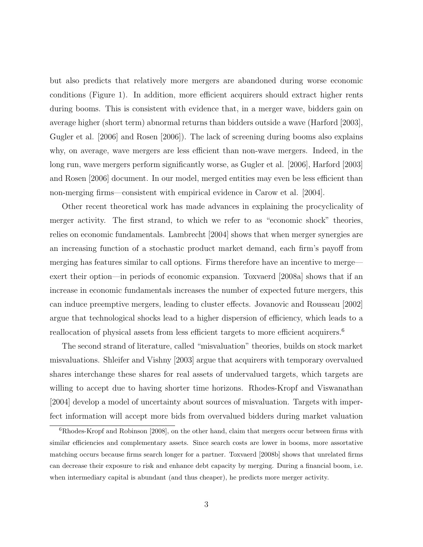but also predicts that relatively more mergers are abandoned during worse economic conditions (Figure 1). In addition, more efficient acquirers should extract higher rents during booms. This is consistent with evidence that, in a merger wave, bidders gain on average higher (short term) abnormal returns than bidders outside a wave (Harford [2003], Gugler et al. [2006] and Rosen [2006]). The lack of screening during booms also explains why, on average, wave mergers are less efficient than non-wave mergers. Indeed, in the long run, wave mergers perform significantly worse, as Gugler et al. [2006], Harford [2003] and Rosen [2006] document. In our model, merged entities may even be less efficient than non-merging firms—consistent with empirical evidence in Carow et al. [2004].

Other recent theoretical work has made advances in explaining the procyclicality of merger activity. The first strand, to which we refer to as "economic shock" theories, relies on economic fundamentals. Lambrecht [2004] shows that when merger synergies are an increasing function of a stochastic product market demand, each firm's payoff from merging has features similar to call options. Firms therefore have an incentive to merge exert their option—in periods of economic expansion. Toxvaerd [2008a] shows that if an increase in economic fundamentals increases the number of expected future mergers, this can induce preemptive mergers, leading to cluster effects. Jovanovic and Rousseau [2002] argue that technological shocks lead to a higher dispersion of efficiency, which leads to a reallocation of physical assets from less efficient targets to more efficient acquirers.<sup>6</sup>

The second strand of literature, called "misvaluation" theories, builds on stock market misvaluations. Shleifer and Vishny [2003] argue that acquirers with temporary overvalued shares interchange these shares for real assets of undervalued targets, which targets are willing to accept due to having shorter time horizons. Rhodes-Kropf and Viswanathan [2004] develop a model of uncertainty about sources of misvaluation. Targets with imperfect information will accept more bids from overvalued bidders during market valuation

<sup>&</sup>lt;sup>6</sup>Rhodes-Kropf and Robinson [2008], on the other hand, claim that mergers occur between firms with similar efficiencies and complementary assets. Since search costs are lower in booms, more assortative matching occurs because firms search longer for a partner. Toxvaerd [2008b] shows that unrelated firms can decrease their exposure to risk and enhance debt capacity by merging. During a financial boom, i.e. when intermediary capital is abundant (and thus cheaper), he predicts more merger activity.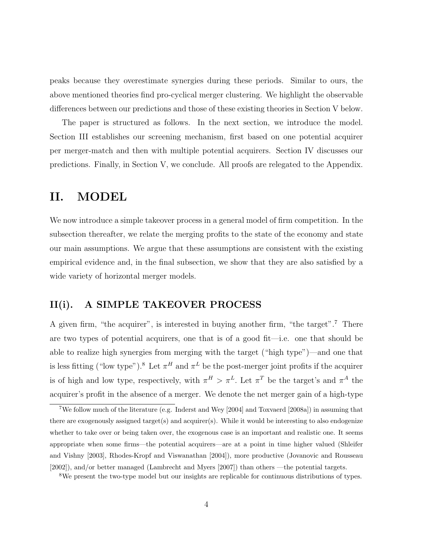peaks because they overestimate synergies during these periods. Similar to ours, the above mentioned theories find pro-cyclical merger clustering. We highlight the observable differences between our predictions and those of these existing theories in Section V below.

The paper is structured as follows. In the next section, we introduce the model. Section III establishes our screening mechanism, first based on one potential acquirer per merger-match and then with multiple potential acquirers. Section IV discusses our predictions. Finally, in Section V, we conclude. All proofs are relegated to the Appendix.

# II. MODEL

We now introduce a simple takeover process in a general model of firm competition. In the subsection thereafter, we relate the merging profits to the state of the economy and state our main assumptions. We argue that these assumptions are consistent with the existing empirical evidence and, in the final subsection, we show that they are also satisfied by a wide variety of horizontal merger models.

#### II(i). A SIMPLE TAKEOVER PROCESS

A given firm, "the acquirer", is interested in buying another firm, "the target".<sup>7</sup> There are two types of potential acquirers, one that is of a good fit—i.e. one that should be able to realize high synergies from merging with the target ("high type")—and one that is less fitting ("low type").<sup>8</sup> Let  $\pi^H$  and  $\pi^L$  be the post-merger joint profits if the acquirer is of high and low type, respectively, with  $\pi^H > \pi^L$ . Let  $\pi^T$  be the target's and  $\pi^A$  the acquirer's profit in the absence of a merger. We denote the net merger gain of a high-type

<sup>7</sup>We follow much of the literature (e.g. Inderst and Wey [2004] and Toxvaerd [2008a]) in assuming that there are exogenously assigned target(s) and acquirer(s). While it would be interesting to also endogenize whether to take over or being taken over, the exogenous case is an important and realistic one. It seems appropriate when some firms—the potential acquirers—are at a point in time higher valued (Shleifer and Vishny [2003], Rhodes-Kropf and Viswanathan [2004]), more productive (Jovanovic and Rousseau [2002]), and/or better managed (Lambrecht and Myers [2007]) than others —the potential targets.

<sup>&</sup>lt;sup>8</sup>We present the two-type model but our insights are replicable for continuous distributions of types.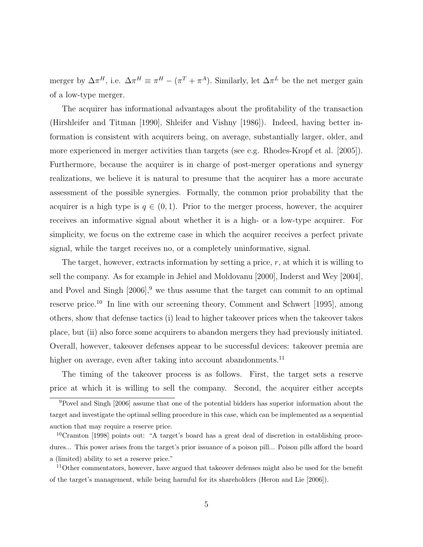merger by  $\Delta \pi^H$ , i.e.  $\Delta \pi^H \equiv \pi^H - (\pi^T + \pi^A)$ . Similarly, let  $\Delta \pi^L$  be the net merger gain of a low-type merger.

The acquirer has informational advantages about the profitability of the transaction (Hirshleifer and Titman [1990], Shleifer and Vishny [1986]). Indeed, having better information is consistent with acquirers being, on average, substantially larger, older, and more experienced in merger activities than targets (see e.g. Rhodes-Kropf et al. [2005]). Furthermore, because the acquirer is in charge of post-merger operations and synergy realizations, we believe it is natural to presume that the acquirer has a more accurate assessment of the possible synergies. Formally, the common prior probability that the acquirer is a high type is  $q \in (0,1)$ . Prior to the merger process, however, the acquirer receives an informative signal about whether it is a high- or a low-type acquirer. For simplicity, we focus on the extreme case in which the acquirer receives a perfect private signal, while the target receives no, or a completely uninformative, signal.

The target, however, extracts information by setting a price, r, at which it is willing to sell the company. As for example in Jehiel and Moldovanu [2000], Inderst and Wey [2004], and Povel and Singh  $[2006]$ , we thus assume that the target can commit to an optimal reserve price.<sup>10</sup> In line with our screening theory, Comment and Schwert [1995], among others, show that defense tactics (i) lead to higher takeover prices when the takeover takes place, but (ii) also force some acquirers to abandon mergers they had previously initiated. Overall, however, takeover defenses appear to be successful devices: takeover premia are higher on average, even after taking into account abandonments.<sup>11</sup>

The timing of the takeover process is as follows. First, the target sets a reserve price at which it is willing to sell the company. Second, the acquirer either accepts

<sup>9</sup>Povel and Singh [2006] assume that one of the potential bidders has superior information about the target and investigate the optimal selling procedure in this case, which can be implemented as a sequential auction that may require a reserve price.

<sup>&</sup>lt;sup>10</sup>Cramton [1998] points out: "A target's board has a great deal of discretion in establishing procedures... This power arises from the target's prior issuance of a poison pill... Poison pills afford the board a (limited) ability to set a reserve price."

<sup>&</sup>lt;sup>11</sup>Other commentators, however, have argued that takeover defenses might also be used for the benefit of the target's management, while being harmful for its shareholders (Heron and Lie [2006]).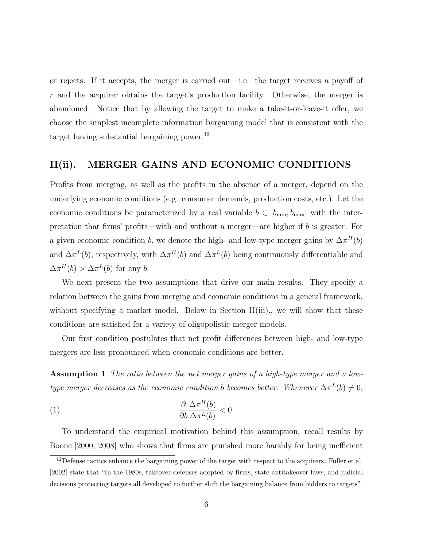or rejects. If it accepts, the merger is carried out—i.e. the target receives a payoff of r and the acquirer obtains the target's production facility. Otherwise, the merger is abandoned. Notice that by allowing the target to make a take-it-or-leave-it offer, we choose the simplest incomplete information bargaining model that is consistent with the target having substantial bargaining power.<sup>12</sup>

#### II(ii). MERGER GAINS AND ECONOMIC CONDITIONS

Profits from merging, as well as the profits in the absence of a merger, depend on the underlying economic conditions (e.g. consumer demands, production costs, etc.). Let the economic conditions be parameterized by a real variable  $b \in [b_{\min}, b_{\max}]$  with the interpretation that firms' profits—with and without a merger—are higher if b is greater. For a given economic condition b, we denote the high- and low-type merger gains by  $\Delta \pi^H(b)$ and  $\Delta \pi^L(b)$ , respectively, with  $\Delta \pi^H(b)$  and  $\Delta \pi^L(b)$  being continuously differentiable and  $\Delta \pi^H(b) > \Delta \pi^L(b)$  for any b.

We next present the two assumptions that drive our main results. They specify a relation between the gains from merging and economic conditions in a general framework, without specifying a market model. Below in Section II(iii)., we will show that these conditions are satisfied for a variety of oligopolistic merger models.

Our first condition postulates that net profit differences between high- and low-type mergers are less pronounced when economic conditions are better.

Assumption 1 The ratio between the net merger gains of a high-type merger and a lowtype merger decreases as the economic condition b becomes better. Whenever  $\Delta \pi^L(b) \neq 0$ ,

(1) 
$$
\frac{\partial \Delta \pi^H(b)}{\partial b \Delta \pi^L(b)} < 0.
$$

To understand the empirical motivation behind this assumption, recall results by Boone [2000, 2008] who shows that firms are punished more harshly for being inefficient

<sup>&</sup>lt;sup>12</sup>Defense tactics enhance the bargaining power of the target with respect to the acquirers. Fuller et al. [2002] state that "In the 1980s, takeover defenses adopted by firms, state antitakeover laws, and judicial decisions protecting targets all developed to further shift the bargaining balance from bidders to targets".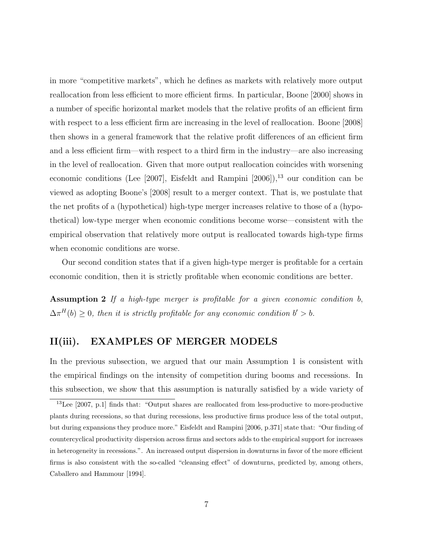in more "competitive markets", which he defines as markets with relatively more output reallocation from less efficient to more efficient firms. In particular, Boone [2000] shows in a number of specific horizontal market models that the relative profits of an efficient firm with respect to a less efficient firm are increasing in the level of reallocation. Boone [2008] then shows in a general framework that the relative profit differences of an efficient firm and a less efficient firm—with respect to a third firm in the industry—are also increasing in the level of reallocation. Given that more output reallocation coincides with worsening economic conditions (Lee  $[2007]$ , Eisfeldt and Rampini  $[2006]$ ),<sup>13</sup> our condition can be viewed as adopting Boone's [2008] result to a merger context. That is, we postulate that the net profits of a (hypothetical) high-type merger increases relative to those of a (hypothetical) low-type merger when economic conditions become worse—consistent with the empirical observation that relatively more output is reallocated towards high-type firms when economic conditions are worse.

Our second condition states that if a given high-type merger is profitable for a certain economic condition, then it is strictly profitable when economic conditions are better.

Assumption 2 If a high-type merger is profitable for a given economic condition b,  $\Delta \pi^{H}(b) \geq 0$ , then it is strictly profitable for any economic condition  $b' > b$ .

#### II(iii). EXAMPLES OF MERGER MODELS

In the previous subsection, we argued that our main Assumption 1 is consistent with the empirical findings on the intensity of competition during booms and recessions. In this subsection, we show that this assumption is naturally satisfied by a wide variety of

<sup>&</sup>lt;sup>13</sup>Lee [2007, p.1] finds that: "Output shares are reallocated from less-productive to more-productive plants during recessions, so that during recessions, less productive firms produce less of the total output, but during expansions they produce more." Eisfeldt and Rampini [2006, p.371] state that: "Our finding of countercyclical productivity dispersion across firms and sectors adds to the empirical support for increases in heterogeneity in recessions.". An increased output dispersion in downturns in favor of the more efficient firms is also consistent with the so-called "cleansing effect" of downturns, predicted by, among others, Caballero and Hammour [1994].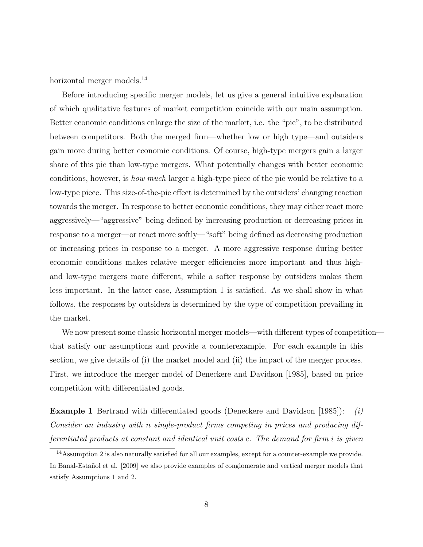horizontal merger models.<sup>14</sup>

Before introducing specific merger models, let us give a general intuitive explanation of which qualitative features of market competition coincide with our main assumption. Better economic conditions enlarge the size of the market, i.e. the "pie", to be distributed between competitors. Both the merged firm—whether low or high type—and outsiders gain more during better economic conditions. Of course, high-type mergers gain a larger share of this pie than low-type mergers. What potentially changes with better economic conditions, however, is how much larger a high-type piece of the pie would be relative to a low-type piece. This size-of-the-pie effect is determined by the outsiders' changing reaction towards the merger. In response to better economic conditions, they may either react more aggressively—"aggressive" being defined by increasing production or decreasing prices in response to a merger—or react more softly—"soft" being defined as decreasing production or increasing prices in response to a merger. A more aggressive response during better economic conditions makes relative merger efficiencies more important and thus highand low-type mergers more different, while a softer response by outsiders makes them less important. In the latter case, Assumption 1 is satisfied. As we shall show in what follows, the responses by outsiders is determined by the type of competition prevailing in the market.

We now present some classic horizontal merger models—with different types of competition that satisfy our assumptions and provide a counterexample. For each example in this section, we give details of (i) the market model and (ii) the impact of the merger process. First, we introduce the merger model of Deneckere and Davidson [1985], based on price competition with differentiated goods.

**Example 1** Bertrand with differentiated goods (Deneckere and Davidson [1985]): (i) Consider an industry with n single-product firms competing in prices and producing differentiated products at constant and identical unit costs c. The demand for firm i is given

<sup>14</sup>Assumption 2 is also naturally satisfied for all our examples, except for a counter-example we provide. In Banal-Estañol et al. [2009] we also provide examples of conglomerate and vertical merger models that satisfy Assumptions 1 and 2.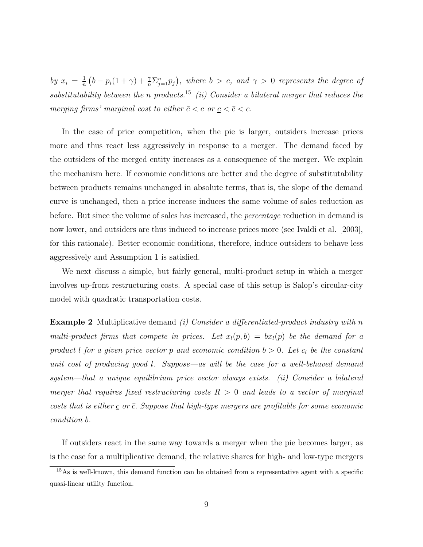by  $x_i = \frac{1}{n}$  $\frac{1}{n}(b-p_i(1+\gamma)+\frac{\gamma}{n}\sum_{j=1}^n p_j),$  where  $b > c$ , and  $\gamma > 0$  represents the degree of substitutability between the n products.<sup>15</sup> (ii) Consider a bilateral merger that reduces the merging firms' marginal cost to either  $\bar{c} < c$  or  $\underline{c} < \bar{c} < c$ .

In the case of price competition, when the pie is larger, outsiders increase prices more and thus react less aggressively in response to a merger. The demand faced by the outsiders of the merged entity increases as a consequence of the merger. We explain the mechanism here. If economic conditions are better and the degree of substitutability between products remains unchanged in absolute terms, that is, the slope of the demand curve is unchanged, then a price increase induces the same volume of sales reduction as before. But since the volume of sales has increased, the percentage reduction in demand is now lower, and outsiders are thus induced to increase prices more (see Ivaldi et al. [2003], for this rationale). Better economic conditions, therefore, induce outsiders to behave less aggressively and Assumption 1 is satisfied.

We next discuss a simple, but fairly general, multi-product setup in which a merger involves up-front restructuring costs. A special case of this setup is Salop's circular-city model with quadratic transportation costs.

**Example 2** Multiplicative demand (i) Consider a differentiated-product industry with n multi-product firms that compete in prices. Let  $x_l(p, b) = bx_l(p)$  be the demand for a product l for a given price vector p and economic condition  $b > 0$ . Let  $c_l$  be the constant unit cost of producing good l. Suppose—as will be the case for a well-behaved demand system—that a unique equilibrium price vector always exists. (ii) Consider a bilateral merger that requires fixed restructuring costs  $R > 0$  and leads to a vector of marginal costs that is either  $\mathbf c$  or  $\bar{\mathbf c}$ . Suppose that high-type mergers are profitable for some economic condition b.

If outsiders react in the same way towards a merger when the pie becomes larger, as is the case for a multiplicative demand, the relative shares for high- and low-type mergers

<sup>&</sup>lt;sup>15</sup>As is well-known, this demand function can be obtained from a representative agent with a specific quasi-linear utility function.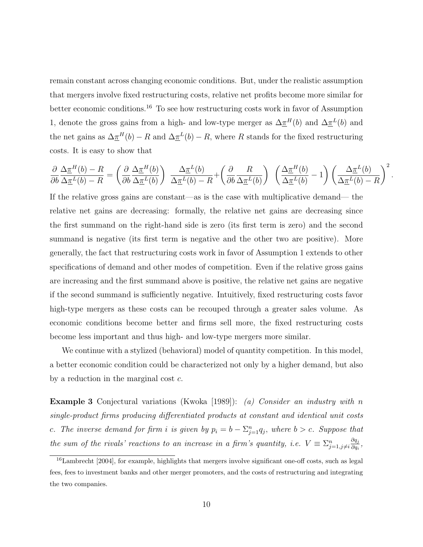remain constant across changing economic conditions. But, under the realistic assumption that mergers involve fixed restructuring costs, relative net profits become more similar for better economic conditions.<sup>16</sup> To see how restructuring costs work in favor of Assumption 1, denote the gross gains from a high- and low-type merger as  $\Delta \pi^{H}(b)$  and  $\Delta \pi^{L}(b)$  and the net gains as  $\Delta \pi^H(b) - R$  and  $\Delta \pi^L(b) - R$ , where R stands for the fixed restructuring costs. It is easy to show that

$$
\frac{\partial}{\partial b} \frac{\Delta \underline{\pi}^H(b) - R}{\Delta \underline{\pi}^L(b) - R} = \left( \frac{\partial}{\partial b} \frac{\Delta \underline{\pi}^H(b)}{\Delta \underline{\pi}^L(b)} \right) \frac{\Delta \underline{\pi}^L(b)}{\Delta \underline{\pi}^L(b) - R} + \left( \frac{\partial}{\partial b} \frac{R}{\Delta \underline{\pi}^L(b)} \right) \left( \frac{\Delta \underline{\pi}^H(b)}{\Delta \underline{\pi}^L(b)} - 1 \right) \left( \frac{\Delta \underline{\pi}^L(b)}{\Delta \underline{\pi}^L(b) - R} \right)^2.
$$

If the relative gross gains are constant—as is the case with multiplicative demand— the relative net gains are decreasing: formally, the relative net gains are decreasing since the first summand on the right-hand side is zero (its first term is zero) and the second summand is negative (its first term is negative and the other two are positive). More generally, the fact that restructuring costs work in favor of Assumption 1 extends to other specifications of demand and other modes of competition. Even if the relative gross gains are increasing and the first summand above is positive, the relative net gains are negative if the second summand is sufficiently negative. Intuitively, fixed restructuring costs favor high-type mergers as these costs can be recouped through a greater sales volume. As economic conditions become better and firms sell more, the fixed restructuring costs become less important and thus high- and low-type mergers more similar.

We continue with a stylized (behavioral) model of quantity competition. In this model, a better economic condition could be characterized not only by a higher demand, but also by a reduction in the marginal cost c.

Example 3 Conjectural variations (Kwoka [1989]): (a) Consider an industry with n single-product firms producing differentiated products at constant and identical unit costs c. The inverse demand for firm i is given by  $p_i = b - \sum_{j=1}^n q_j$ , where  $b > c$ . Suppose that the sum of the rivals' reactions to an increase in a firm's quantity, i.e.  $V \equiv \sum_{j=1, j \neq i}^{n}$  $\partial q_j$  $\frac{\partial q_j}{\partial q_i},$ 

<sup>16</sup>Lambrecht [2004], for example, highlights that mergers involve significant one-off costs, such as legal fees, fees to investment banks and other merger promoters, and the costs of restructuring and integrating the two companies.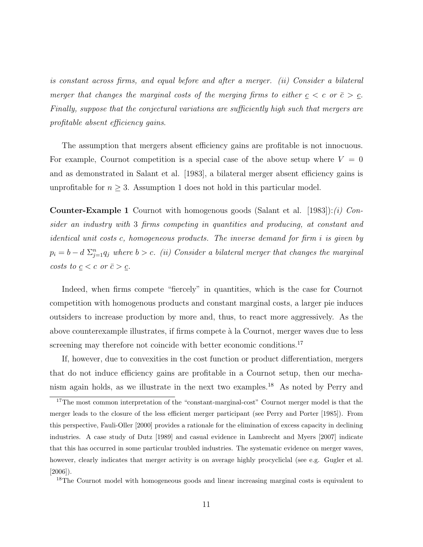is constant across firms, and equal before and after a merger. (ii) Consider a bilateral merger that changes the marginal costs of the merging firms to either  $c < c$  or  $\overline{c} > c$ . Finally, suppose that the conjectural variations are sufficiently high such that mergers are profitable absent efficiency gains.

The assumption that mergers absent efficiency gains are profitable is not innocuous. For example, Cournot competition is a special case of the above setup where  $V = 0$ and as demonstrated in Salant et al. [1983], a bilateral merger absent efficiency gains is unprofitable for  $n \geq 3$ . Assumption 1 does not hold in this particular model.

**Counter-Example 1** Cournot with homogenous goods (Salant et al. [1983]): (i) Consider an industry with 3 firms competing in quantities and producing, at constant and identical unit costs c, homogeneous products. The inverse demand for firm i is given by  $p_i = b - d \sum_{j=1}^n q_j$  where  $b > c$ . (ii) Consider a bilateral merger that changes the marginal costs to  $\underline{c} < c$  or  $\overline{c} > \underline{c}$ .

Indeed, when firms compete "fiercely" in quantities, which is the case for Cournot competition with homogenous products and constant marginal costs, a larger pie induces outsiders to increase production by more and, thus, to react more aggressively. As the above counterexample illustrates, if firms compete à la Cournot, merger waves due to less screening may therefore not coincide with better economic conditions.<sup>17</sup>

If, however, due to convexities in the cost function or product differentiation, mergers that do not induce efficiency gains are profitable in a Cournot setup, then our mechanism again holds, as we illustrate in the next two examples.<sup>18</sup> As noted by Perry and

<sup>&</sup>lt;sup>17</sup>The most common interpretation of the "constant-marginal-cost" Cournot merger model is that the merger leads to the closure of the less efficient merger participant (see Perry and Porter [1985]). From this perspective, Fauli-Oller [2000] provides a rationale for the elimination of excess capacity in declining industries. A case study of Dutz [1989] and casual evidence in Lambrecht and Myers [2007] indicate that this has occurred in some particular troubled industries. The systematic evidence on merger waves, however, clearly indicates that merger activity is on average highly procycliclal (see e.g. Gugler et al. [2006]).

<sup>&</sup>lt;sup>18</sup>The Cournot model with homogeneous goods and linear increasing marginal costs is equivalent to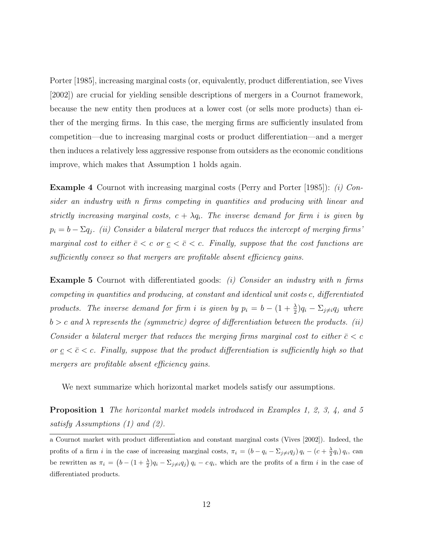Porter [1985], increasing marginal costs (or, equivalently, product differentiation, see Vives [2002]) are crucial for yielding sensible descriptions of mergers in a Cournot framework, because the new entity then produces at a lower cost (or sells more products) than either of the merging firms. In this case, the merging firms are sufficiently insulated from competition—due to increasing marginal costs or product differentiation—and a merger then induces a relatively less aggressive response from outsiders as the economic conditions improve, which makes that Assumption 1 holds again.

**Example 4** Cournot with increasing marginal costs (Perry and Porter [1985]): (i) Consider an industry with n firms competing in quantities and producing with linear and strictly increasing marginal costs,  $c + \lambda q_i$ . The inverse demand for firm i is given by  $p_i = b - \Sigma q_j$ . (ii) Consider a bilateral merger that reduces the intercept of merging firms' marginal cost to either  $\bar{c} < c$  or  $\underline{c} < \bar{c} < c$ . Finally, suppose that the cost functions are sufficiently convex so that mergers are profitable absent efficiency gains.

**Example 5** Cournot with differentiated goods: (i) Consider an industry with n firms competing in quantities and producing, at constant and identical unit costs c, differentiated products. The inverse demand for firm i is given by  $p_i = b - (1 + \frac{\lambda}{2})q_i - \sum_{j \neq i} q_j$  where  $b > c$  and  $\lambda$  represents the (symmetric) degree of differentiation between the products. (ii) Consider a bilateral merger that reduces the merging firms marginal cost to either  $\bar{c} < c$ or  $c \leq \overline{c} \leq c$ . Finally, suppose that the product differentiation is sufficiently high so that mergers are profitable absent efficiency gains.

We next summarize which horizontal market models satisfy our assumptions.

Proposition 1 The horizontal market models introduced in Examples 1, 2, 3, 4, and 5 satisfy Assumptions (1) and (2).

a Cournot market with product differentiation and constant marginal costs (Vives [2002]). Indeed, the profits of a firm i in the case of increasing marginal costs,  $\pi_i = (b - q_i - \sum_{j \neq i} q_j) q_i - (c + \frac{\lambda}{2} q_i) q_i$ , can be rewritten as  $\pi_i = (b - (1 + \frac{\lambda}{2})q_i - \Sigma_{j \neq i}q_j) q_i - c q_i$ , which are the profits of a firm i in the case of differentiated products.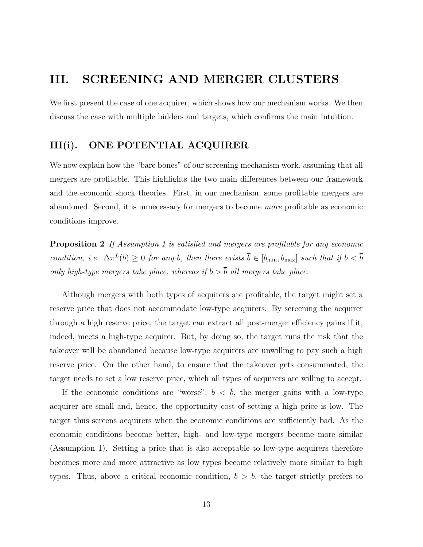# III. SCREENING AND MERGER CLUSTERS

We first present the case of one acquirer, which shows how our mechanism works. We then discuss the case with multiple bidders and targets, which confirms the main intuition.

#### III(i). ONE POTENTIAL ACQUIRER

We now explain how the "bare bones" of our screening mechanism work, assuming that all mergers are profitable. This highlights the two main differences between our framework and the economic shock theories. First, in our mechanism, some profitable mergers are abandoned. Second, it is unnecessary for mergers to become more profitable as economic conditions improve.

Proposition 2 If Assumption 1 is satisfied and mergers are profitable for any economic condition, i.e.  $\Delta \pi^L(b) \geq 0$  for any b, then there exists  $\bar{b} \in [b_{\min}, b_{\max}]$  such that if  $b < \bar{b}$ only high-type mergers take place, whereas if  $b > \overline{b}$  all mergers take place.

Although mergers with both types of acquirers are profitable, the target might set a reserve price that does not accommodate low-type acquirers. By screening the acquirer through a high reserve price, the target can extract all post-merger efficiency gains if it, indeed, meets a high-type acquirer. But, by doing so, the target runs the risk that the takeover will be abandoned because low-type acquirers are unwilling to pay such a high reserve price. On the other hand, to ensure that the takeover gets consummated, the target needs to set a low reserve price, which all types of acquirers are willing to accept.

If the economic conditions are "worse",  $b < \bar{b}$ , the merger gains with a low-type acquirer are small and, hence, the opportunity cost of setting a high price is low. The target thus screens acquirers when the economic conditions are sufficiently bad. As the economic conditions become better, high- and low-type mergers become more similar (Assumption 1). Setting a price that is also acceptable to low-type acquirers therefore becomes more and more attractive as low types become relatively more similar to high types. Thus, above a critical economic condition,  $b > \overline{b}$ , the target strictly prefers to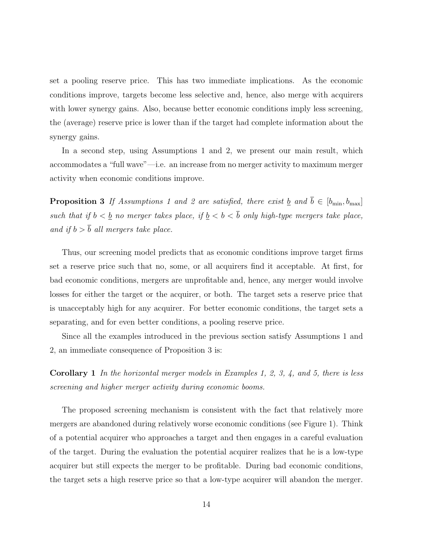set a pooling reserve price. This has two immediate implications. As the economic conditions improve, targets become less selective and, hence, also merge with acquirers with lower synergy gains. Also, because better economic conditions imply less screening, the (average) reserve price is lower than if the target had complete information about the synergy gains.

In a second step, using Assumptions 1 and 2, we present our main result, which accommodates a "full wave"—i.e. an increase from no merger activity to maximum merger activity when economic conditions improve.

**Proposition 3** If Assumptions 1 and 2 are satisfied, there exist <u>b</u> and  $\overline{b} \in [b_{\min}, b_{\max}]$ such that if  $b < \underline{b}$  no merger takes place, if  $\underline{b} < b < \overline{b}$  only high-type mergers take place, and if  $b > \overline{b}$  all mergers take place.

Thus, our screening model predicts that as economic conditions improve target firms set a reserve price such that no, some, or all acquirers find it acceptable. At first, for bad economic conditions, mergers are unprofitable and, hence, any merger would involve losses for either the target or the acquirer, or both. The target sets a reserve price that is unacceptably high for any acquirer. For better economic conditions, the target sets a separating, and for even better conditions, a pooling reserve price.

Since all the examples introduced in the previous section satisfy Assumptions 1 and 2, an immediate consequence of Proposition 3 is:

Corollary 1 In the horizontal merger models in Examples 1, 2, 3, 4, and 5, there is less screening and higher merger activity during economic booms.

The proposed screening mechanism is consistent with the fact that relatively more mergers are abandoned during relatively worse economic conditions (see Figure 1). Think of a potential acquirer who approaches a target and then engages in a careful evaluation of the target. During the evaluation the potential acquirer realizes that he is a low-type acquirer but still expects the merger to be profitable. During bad economic conditions, the target sets a high reserve price so that a low-type acquirer will abandon the merger.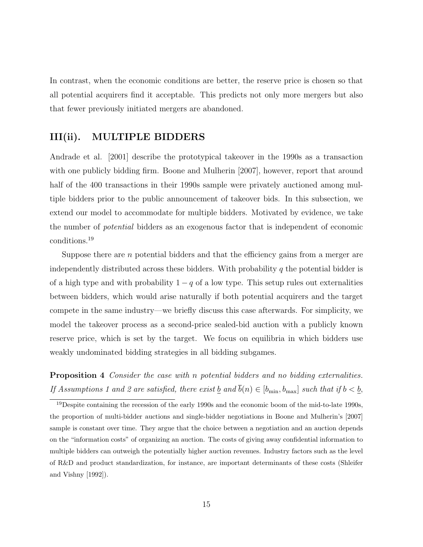In contrast, when the economic conditions are better, the reserve price is chosen so that all potential acquirers find it acceptable. This predicts not only more mergers but also that fewer previously initiated mergers are abandoned.

#### III(ii). MULTIPLE BIDDERS

Andrade et al. [2001] describe the prototypical takeover in the 1990s as a transaction with one publicly bidding firm. Boone and Mulherin [2007], however, report that around half of the 400 transactions in their 1990s sample were privately auctioned among multiple bidders prior to the public announcement of takeover bids. In this subsection, we extend our model to accommodate for multiple bidders. Motivated by evidence, we take the number of potential bidders as an exogenous factor that is independent of economic conditions.<sup>19</sup>

Suppose there are n potential bidders and that the efficiency gains from a merger are independently distributed across these bidders. With probability  $q$  the potential bidder is of a high type and with probability  $1 - q$  of a low type. This setup rules out externalities between bidders, which would arise naturally if both potential acquirers and the target compete in the same industry—we briefly discuss this case afterwards. For simplicity, we model the takeover process as a second-price sealed-bid auction with a publicly known reserve price, which is set by the target. We focus on equilibria in which bidders use weakly undominated bidding strategies in all bidding subgames.

Proposition 4 Consider the case with n potential bidders and no bidding externalities. If Assumptions 1 and 2 are satisfied, there exist  $\underline{b}$  and  $\overline{b}(n) \in [b_{\min}, b_{\max}]$  such that if  $b < \underline{b}$ ,

 $19$ Despite containing the recession of the early 1990s and the economic boom of the mid-to-late 1990s. the proportion of multi-bidder auctions and single-bidder negotiations in Boone and Mulherin's [2007] sample is constant over time. They argue that the choice between a negotiation and an auction depends on the "information costs" of organizing an auction. The costs of giving away confidential information to multiple bidders can outweigh the potentially higher auction revenues. Industry factors such as the level of R&D and product standardization, for instance, are important determinants of these costs (Shleifer and Vishny [1992]).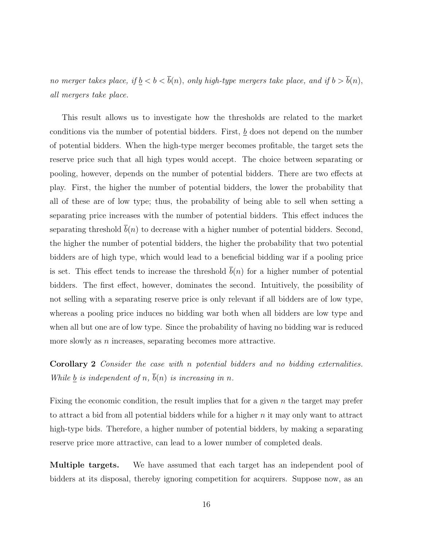no merger takes place, if  $\underline{b} < b < \overline{b}(n)$ , only high-type mergers take place, and if  $b > \overline{b}(n)$ , all mergers take place.

This result allows us to investigate how the thresholds are related to the market conditions via the number of potential bidders. First,  $\underline{b}$  does not depend on the number of potential bidders. When the high-type merger becomes profitable, the target sets the reserve price such that all high types would accept. The choice between separating or pooling, however, depends on the number of potential bidders. There are two effects at play. First, the higher the number of potential bidders, the lower the probability that all of these are of low type; thus, the probability of being able to sell when setting a separating price increases with the number of potential bidders. This effect induces the separating threshold  $\bar{b}(n)$  to decrease with a higher number of potential bidders. Second, the higher the number of potential bidders, the higher the probability that two potential bidders are of high type, which would lead to a beneficial bidding war if a pooling price is set. This effect tends to increase the threshold  $b(n)$  for a higher number of potential bidders. The first effect, however, dominates the second. Intuitively, the possibility of not selling with a separating reserve price is only relevant if all bidders are of low type, whereas a pooling price induces no bidding war both when all bidders are low type and when all but one are of low type. Since the probability of having no bidding war is reduced more slowly as  $n$  increases, separating becomes more attractive.

Corollary 2 Consider the case with n potential bidders and no bidding externalities. While  $\underline{b}$  is independent of n,  $\overline{b}(n)$  is increasing in n.

Fixing the economic condition, the result implies that for a given n the target may prefer to attract a bid from all potential bidders while for a higher  $n$  it may only want to attract high-type bids. Therefore, a higher number of potential bidders, by making a separating reserve price more attractive, can lead to a lower number of completed deals.

Multiple targets. We have assumed that each target has an independent pool of bidders at its disposal, thereby ignoring competition for acquirers. Suppose now, as an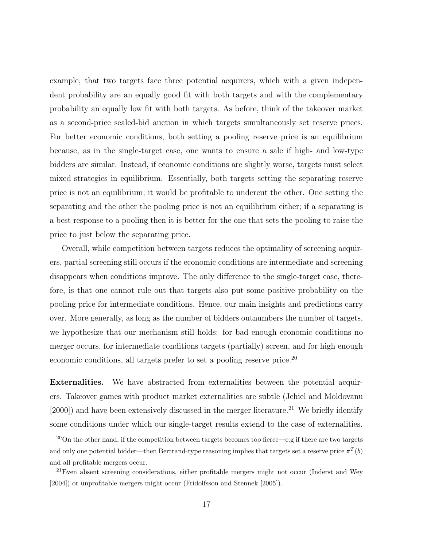example, that two targets face three potential acquirers, which with a given independent probability are an equally good fit with both targets and with the complementary probability an equally low fit with both targets. As before, think of the takeover market as a second-price sealed-bid auction in which targets simultaneously set reserve prices. For better economic conditions, both setting a pooling reserve price is an equilibrium because, as in the single-target case, one wants to ensure a sale if high- and low-type bidders are similar. Instead, if economic conditions are slightly worse, targets must select mixed strategies in equilibrium. Essentially, both targets setting the separating reserve price is not an equilibrium; it would be profitable to undercut the other. One setting the separating and the other the pooling price is not an equilibrium either; if a separating is a best response to a pooling then it is better for the one that sets the pooling to raise the price to just below the separating price.

Overall, while competition between targets reduces the optimality of screening acquirers, partial screening still occurs if the economic conditions are intermediate and screening disappears when conditions improve. The only difference to the single-target case, therefore, is that one cannot rule out that targets also put some positive probability on the pooling price for intermediate conditions. Hence, our main insights and predictions carry over. More generally, as long as the number of bidders outnumbers the number of targets, we hypothesize that our mechanism still holds: for bad enough economic conditions no merger occurs, for intermediate conditions targets (partially) screen, and for high enough economic conditions, all targets prefer to set a pooling reserve price.<sup>20</sup>

Externalities. We have abstracted from externalities between the potential acquirers. Takeover games with product market externalities are subtle (Jehiel and Moldovanu  $[2000]$ ) and have been extensively discussed in the merger literature.<sup>21</sup> We briefly identify some conditions under which our single-target results extend to the case of externalities.

<sup>&</sup>lt;sup>20</sup>On the other hand, if the competition between targets becomes too fierce—e.g if there are two targets and only one potential bidder—then Bertrand-type reasoning implies that targets set a reserve price  $\pi^T(b)$ and all profitable mergers occur.

<sup>&</sup>lt;sup>21</sup>Even absent screening considerations, either profitable mergers might not occur (Inderst and Wey [2004]) or unprofitable mergers might occur (Fridolfsson and Stennek [2005]).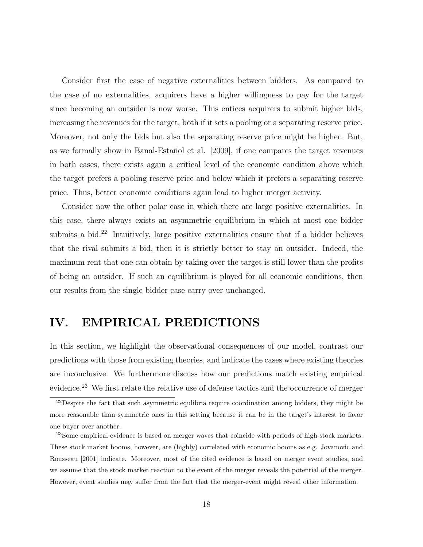Consider first the case of negative externalities between bidders. As compared to the case of no externalities, acquirers have a higher willingness to pay for the target since becoming an outsider is now worse. This entices acquirers to submit higher bids, increasing the revenues for the target, both if it sets a pooling or a separating reserve price. Moreover, not only the bids but also the separating reserve price might be higher. But, as we formally show in Banal-Estañol et al. [2009], if one compares the target revenues in both cases, there exists again a critical level of the economic condition above which the target prefers a pooling reserve price and below which it prefers a separating reserve price. Thus, better economic conditions again lead to higher merger activity.

Consider now the other polar case in which there are large positive externalities. In this case, there always exists an asymmetric equilibrium in which at most one bidder submits a bid.<sup>22</sup> Intuitively, large positive externalities ensure that if a bidder believes that the rival submits a bid, then it is strictly better to stay an outsider. Indeed, the maximum rent that one can obtain by taking over the target is still lower than the profits of being an outsider. If such an equilibrium is played for all economic conditions, then our results from the single bidder case carry over unchanged.

# IV. EMPIRICAL PREDICTIONS

In this section, we highlight the observational consequences of our model, contrast our predictions with those from existing theories, and indicate the cases where existing theories are inconclusive. We furthermore discuss how our predictions match existing empirical evidence.<sup>23</sup> We first relate the relative use of defense tactics and the occurrence of merger

 $^{22}$ Despite the fact that such asymmetric equilibria require coordination among bidders, they might be more reasonable than symmetric ones in this setting because it can be in the target's interest to favor one buyer over another.

<sup>&</sup>lt;sup>23</sup>Some empirical evidence is based on merger waves that coincide with periods of high stock markets. These stock market booms, however, are (highly) correlated with economic booms as e.g. Jovanovic and Rousseau [2001] indicate. Moreover, most of the cited evidence is based on merger event studies, and we assume that the stock market reaction to the event of the merger reveals the potential of the merger. However, event studies may suffer from the fact that the merger-event might reveal other information.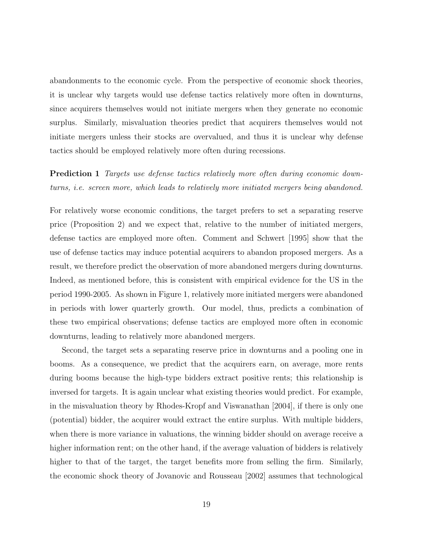abandonments to the economic cycle. From the perspective of economic shock theories, it is unclear why targets would use defense tactics relatively more often in downturns, since acquirers themselves would not initiate mergers when they generate no economic surplus. Similarly, misvaluation theories predict that acquirers themselves would not initiate mergers unless their stocks are overvalued, and thus it is unclear why defense tactics should be employed relatively more often during recessions.

**Prediction 1** Targets use defense tactics relatively more often during economic downturns, i.e. screen more, which leads to relatively more initiated mergers being abandoned.

For relatively worse economic conditions, the target prefers to set a separating reserve price (Proposition 2) and we expect that, relative to the number of initiated mergers, defense tactics are employed more often. Comment and Schwert [1995] show that the use of defense tactics may induce potential acquirers to abandon proposed mergers. As a result, we therefore predict the observation of more abandoned mergers during downturns. Indeed, as mentioned before, this is consistent with empirical evidence for the US in the period 1990-2005. As shown in Figure 1, relatively more initiated mergers were abandoned in periods with lower quarterly growth. Our model, thus, predicts a combination of these two empirical observations; defense tactics are employed more often in economic downturns, leading to relatively more abandoned mergers.

Second, the target sets a separating reserve price in downturns and a pooling one in booms. As a consequence, we predict that the acquirers earn, on average, more rents during booms because the high-type bidders extract positive rents; this relationship is inversed for targets. It is again unclear what existing theories would predict. For example, in the misvaluation theory by Rhodes-Kropf and Viswanathan [2004], if there is only one (potential) bidder, the acquirer would extract the entire surplus. With multiple bidders, when there is more variance in valuations, the winning bidder should on average receive a higher information rent; on the other hand, if the average valuation of bidders is relatively higher to that of the target, the target benefits more from selling the firm. Similarly, the economic shock theory of Jovanovic and Rousseau [2002] assumes that technological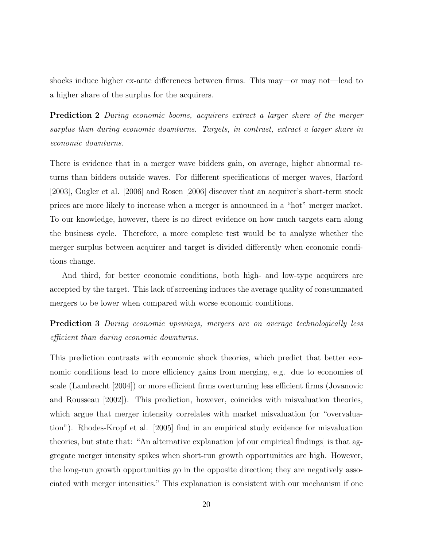shocks induce higher ex-ante differences between firms. This may—or may not—lead to a higher share of the surplus for the acquirers.

Prediction 2 During economic booms, acquirers extract a larger share of the merger surplus than during economic downturns. Targets, in contrast, extract a larger share in economic downturns.

There is evidence that in a merger wave bidders gain, on average, higher abnormal returns than bidders outside waves. For different specifications of merger waves, Harford [2003], Gugler et al. [2006] and Rosen [2006] discover that an acquirer's short-term stock prices are more likely to increase when a merger is announced in a "hot" merger market. To our knowledge, however, there is no direct evidence on how much targets earn along the business cycle. Therefore, a more complete test would be to analyze whether the merger surplus between acquirer and target is divided differently when economic conditions change.

And third, for better economic conditions, both high- and low-type acquirers are accepted by the target. This lack of screening induces the average quality of consummated mergers to be lower when compared with worse economic conditions.

**Prediction 3** During economic upswings, mergers are on average technologically less efficient than during economic downturns.

This prediction contrasts with economic shock theories, which predict that better economic conditions lead to more efficiency gains from merging, e.g. due to economies of scale (Lambrecht [2004]) or more efficient firms overturning less efficient firms (Jovanovic and Rousseau [2002]). This prediction, however, coincides with misvaluation theories, which argue that merger intensity correlates with market misvaluation (or "overvaluation"). Rhodes-Kropf et al. [2005] find in an empirical study evidence for misvaluation theories, but state that: "An alternative explanation [of our empirical findings] is that aggregate merger intensity spikes when short-run growth opportunities are high. However, the long-run growth opportunities go in the opposite direction; they are negatively associated with merger intensities." This explanation is consistent with our mechanism if one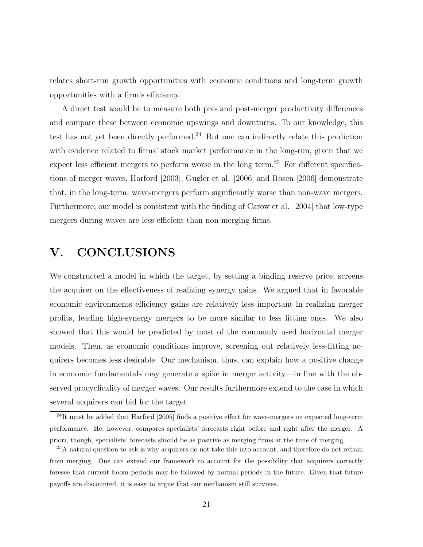relates short-run growth opportunities with economic conditions and long-term growth opportunities with a firm's efficiency.

A direct test would be to measure both pre- and post-merger productivity differences and compare these between economic upswings and downturns. To our knowledge, this test has not yet been directly performed.<sup>24</sup> But one can indirectly relate this prediction with evidence related to firms' stock market performance in the long-run, given that we expect less efficient mergers to perform worse in the long term.<sup>25</sup> For different specifications of merger waves, Harford [2003], Gugler et al. [2006] and Rosen [2006] demonstrate that, in the long-term, wave-mergers perform significantly worse than non-wave mergers. Furthermore, our model is consistent with the finding of Carow et al. [2004] that low-type mergers during waves are less efficient than non-merging firms.

# V. CONCLUSIONS

We constructed a model in which the target, by setting a binding reserve price, screens the acquirer on the effectiveness of realizing synergy gains. We argued that in favorable economic environments efficiency gains are relatively less important in realizing merger profits, leading high-synergy mergers to be more similar to less fitting ones. We also showed that this would be predicted by most of the commonly used horizontal merger models. Then, as economic conditions improve, screening out relatively less-fitting acquirers becomes less desirable. Our mechanism, thus, can explain how a positive change in economic fundamentals may generate a spike in merger activity—in line with the observed procyclicality of merger waves. Our results furthermore extend to the case in which several acquirers can bid for the target.

 $^{24}$ It must be added that Harford [2005] finds a positive effect for wave-mergers on expected long-term performance. He, however, compares specialists' forecasts right before and right after the merger. A priori, though, specialists' forecasts should be as positive as merging firms at the time of merging.

<sup>&</sup>lt;sup>25</sup>A natural question to ask is why acquirers do not take this into account, and therefore do not refrain from merging. One can extend our framework to account for the possibility that acquirers correctly foresee that current boom periods may be followed by normal periods in the future. Given that future payoffs are discounted, it is easy to argue that our mechanism still survives.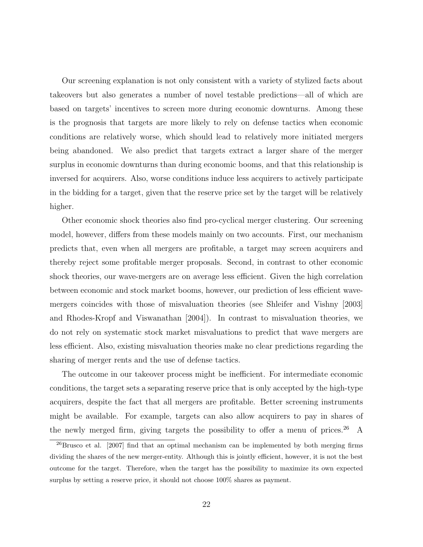Our screening explanation is not only consistent with a variety of stylized facts about takeovers but also generates a number of novel testable predictions—all of which are based on targets' incentives to screen more during economic downturns. Among these is the prognosis that targets are more likely to rely on defense tactics when economic conditions are relatively worse, which should lead to relatively more initiated mergers being abandoned. We also predict that targets extract a larger share of the merger surplus in economic downturns than during economic booms, and that this relationship is inversed for acquirers. Also, worse conditions induce less acquirers to actively participate in the bidding for a target, given that the reserve price set by the target will be relatively higher.

Other economic shock theories also find pro-cyclical merger clustering. Our screening model, however, differs from these models mainly on two accounts. First, our mechanism predicts that, even when all mergers are profitable, a target may screen acquirers and thereby reject some profitable merger proposals. Second, in contrast to other economic shock theories, our wave-mergers are on average less efficient. Given the high correlation between economic and stock market booms, however, our prediction of less efficient wavemergers coincides with those of misvaluation theories (see Shleifer and Vishny [2003] and Rhodes-Kropf and Viswanathan [2004]). In contrast to misvaluation theories, we do not rely on systematic stock market misvaluations to predict that wave mergers are less efficient. Also, existing misvaluation theories make no clear predictions regarding the sharing of merger rents and the use of defense tactics.

The outcome in our takeover process might be inefficient. For intermediate economic conditions, the target sets a separating reserve price that is only accepted by the high-type acquirers, despite the fact that all mergers are profitable. Better screening instruments might be available. For example, targets can also allow acquirers to pay in shares of the newly merged firm, giving targets the possibility to offer a menu of prices.<sup>26</sup> A

 $^{26}$ Brusco et al. [2007] find that an optimal mechanism can be implemented by both merging firms dividing the shares of the new merger-entity. Although this is jointly efficient, however, it is not the best outcome for the target. Therefore, when the target has the possibility to maximize its own expected surplus by setting a reserve price, it should not choose 100% shares as payment.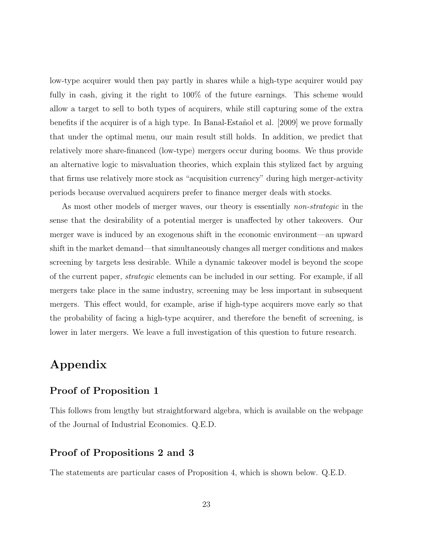low-type acquirer would then pay partly in shares while a high-type acquirer would pay fully in cash, giving it the right to 100% of the future earnings. This scheme would allow a target to sell to both types of acquirers, while still capturing some of the extra benefits if the acquirer is of a high type. In Banal-Estañol et al. [2009] we prove formally that under the optimal menu, our main result still holds. In addition, we predict that relatively more share-financed (low-type) mergers occur during booms. We thus provide an alternative logic to misvaluation theories, which explain this stylized fact by arguing that firms use relatively more stock as "acquisition currency" during high merger-activity periods because overvalued acquirers prefer to finance merger deals with stocks.

As most other models of merger waves, our theory is essentially *non-strategic* in the sense that the desirability of a potential merger is unaffected by other takeovers. Our merger wave is induced by an exogenous shift in the economic environment—an upward shift in the market demand—that simultaneously changes all merger conditions and makes screening by targets less desirable. While a dynamic takeover model is beyond the scope of the current paper, strategic elements can be included in our setting. For example, if all mergers take place in the same industry, screening may be less important in subsequent mergers. This effect would, for example, arise if high-type acquirers move early so that the probability of facing a high-type acquirer, and therefore the benefit of screening, is lower in later mergers. We leave a full investigation of this question to future research.

# Appendix

### Proof of Proposition 1

This follows from lengthy but straightforward algebra, which is available on the webpage of the Journal of Industrial Economics. Q.E.D.

#### Proof of Propositions 2 and 3

The statements are particular cases of Proposition 4, which is shown below. Q.E.D.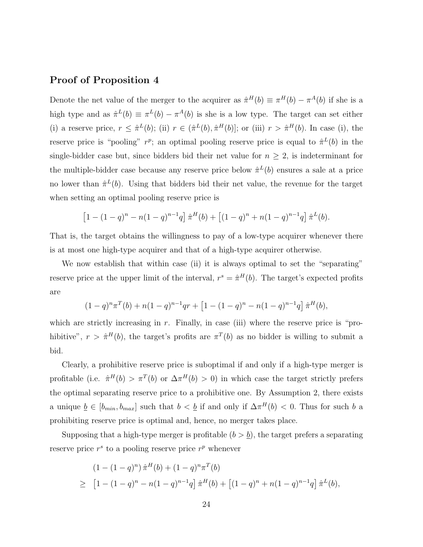### Proof of Proposition 4

Denote the net value of the merger to the acquirer as  $\hat{\pi}^H(b) \equiv \pi^H(b) - \pi^A(b)$  if she is a high type and as  $\hat{\pi}^L(b) \equiv \pi^L(b) - \pi^A(b)$  is she is a low type. The target can set either (i) a reserve price,  $r \leq \hat{\pi}^{L}(b)$ ; (ii)  $r \in (\hat{\pi}^{L}(b), \hat{\pi}^{H}(b)]$ ; or (iii)  $r > \hat{\pi}^{H}(b)$ . In case (i), the reserve price is "pooling"  $r^p$ ; an optimal pooling reserve price is equal to  $\hat{\pi}^L(b)$  in the single-bidder case but, since bidders bid their net value for  $n \geq 2$ , is indeterminant for the multiple-bidder case because any reserve price below  $\hat{\pi}^L(b)$  ensures a sale at a price no lower than  $\hat{\pi}^L(b)$ . Using that bidders bid their net value, the revenue for the target when setting an optimal pooling reserve price is

$$
\[1 - (1 - q)^n - n(1 - q)^{n-1}q\]\hat{\pi}^H(b) + \[(1 - q)^n + n(1 - q)^{n-1}q\]\hat{\pi}^L(b).
$$

That is, the target obtains the willingness to pay of a low-type acquirer whenever there is at most one high-type acquirer and that of a high-type acquirer otherwise.

We now establish that within case (ii) it is always optimal to set the "separating" reserve price at the upper limit of the interval,  $r^s = \hat{\pi}^H(b)$ . The target's expected profits are

$$
(1-q)^{n} \pi^{T}(b) + n(1-q)^{n-1}qr + \left[1 - (1-q)^{n} - n(1-q)^{n-1}q\right] \hat{\pi}^{H}(b),
$$

which are strictly increasing in r. Finally, in case (iii) where the reserve price is "prohibitive",  $r > \hat{\pi}^H(b)$ , the target's profits are  $\pi^T(b)$  as no bidder is willing to submit a bid.

Clearly, a prohibitive reserve price is suboptimal if and only if a high-type merger is profitable (i.e.  $\hat{\pi}^H(b) > \pi^T(b)$  or  $\Delta \pi^H(b) > 0$ ) in which case the target strictly prefers the optimal separating reserve price to a prohibitive one. By Assumption 2, there exists a unique  $\underline{b} \in [b_{min}, b_{max}]$  such that  $b < \underline{b}$  if and only if  $\Delta \pi^H(b) < 0$ . Thus for such b a prohibiting reserve price is optimal and, hence, no merger takes place.

Supposing that a high-type merger is profitable  $(b > b)$ , the target prefers a separating reserve price  $r^s$  to a pooling reserve price  $r^p$  whenever

$$
(1 - (1 - q)^n) \hat{\pi}^H(b) + (1 - q)^n \pi^T(b)
$$
  
\n
$$
\geq [1 - (1 - q)^n - n(1 - q)^{n-1}q] \hat{\pi}^H(b) + [(1 - q)^n + n(1 - q)^{n-1}q] \hat{\pi}^L(b),
$$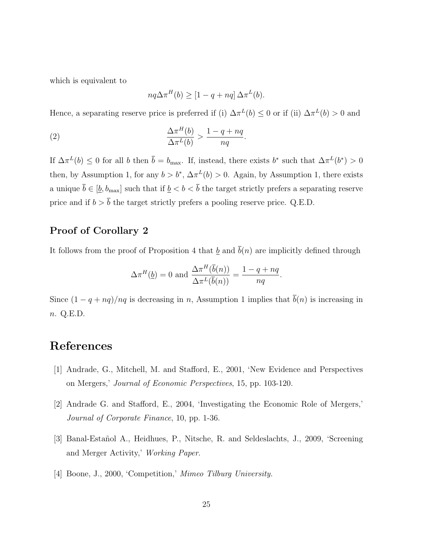which is equivalent to

$$
nq\Delta\pi^{H}(b) \geq [1 - q + nq] \Delta\pi^{L}(b).
$$

Hence, a separating reserve price is preferred if (i)  $\Delta \pi^L(b) \leq 0$  or if (ii)  $\Delta \pi^L(b) > 0$  and

(2) 
$$
\frac{\Delta \pi^H(b)}{\Delta \pi^L(b)} > \frac{1 - q + nq}{nq}.
$$

If  $\Delta \pi^L(b) \leq 0$  for all b then  $\bar{b} = b_{\text{max}}$ . If, instead, there exists b<sup>\*</sup> such that  $\Delta \pi^L(b^*) > 0$ then, by Assumption 1, for any  $b > b^*$ ,  $\Delta \pi^L(b) > 0$ . Again, by Assumption 1, there exists a unique  $\overline{b} \in [\underline{b}, b_{\max}]$  such that if  $\underline{b} < b < \overline{b}$  the target strictly prefers a separating reserve price and if  $b > \overline{b}$  the target strictly prefers a pooling reserve price. Q.E.D.

#### Proof of Corollary 2

It follows from the proof of Proposition 4 that  $\underline{b}$  and  $\overline{b}(n)$  are implicitly defined through

$$
\Delta \pi^H(\underline{b}) = 0 \text{ and } \frac{\Delta \pi^H(\overline{b}(n))}{\Delta \pi^L(\overline{b}(n))} = \frac{1 - q + nq}{nq}.
$$

Since  $(1 - q + nq)/nq$  is decreasing in n, Assumption 1 implies that  $\bar{b}(n)$  is increasing in n. Q.E.D.

### References

- [1] Andrade, G., Mitchell, M. and Stafford, E., 2001, 'New Evidence and Perspectives on Mergers,' Journal of Economic Perspectives, 15, pp. 103-120.
- [2] Andrade G. and Stafford, E., 2004, 'Investigating the Economic Role of Mergers,' Journal of Corporate Finance, 10, pp. 1-36.
- [3] Banal-Esta˜nol A., Heidhues, P., Nitsche, R. and Seldeslachts, J., 2009, 'Screening and Merger Activity,' Working Paper.
- [4] Boone, J., 2000, 'Competition,' Mimeo Tilburg University.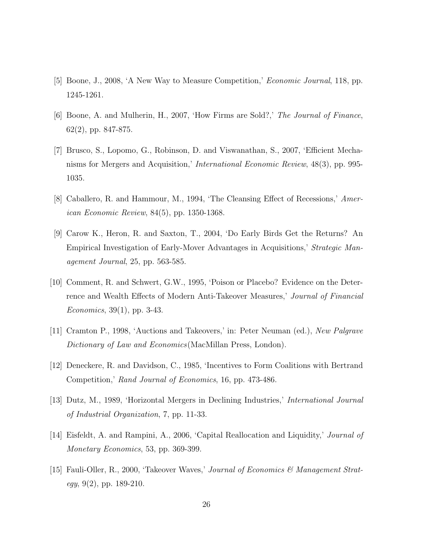- [5] Boone, J., 2008, 'A New Way to Measure Competition,' Economic Journal, 118, pp. 1245-1261.
- [6] Boone, A. and Mulherin, H., 2007, 'How Firms are Sold?,' The Journal of Finance, 62(2), pp. 847-875.
- [7] Brusco, S., Lopomo, G., Robinson, D. and Viswanathan, S., 2007, 'Efficient Mechanisms for Mergers and Acquisition,' International Economic Review, 48(3), pp. 995- 1035.
- [8] Caballero, R. and Hammour, M., 1994, 'The Cleansing Effect of Recessions,' American Economic Review, 84(5), pp. 1350-1368.
- [9] Carow K., Heron, R. and Saxton, T., 2004, 'Do Early Birds Get the Returns? An Empirical Investigation of Early-Mover Advantages in Acquisitions,' Strategic Management Journal, 25, pp. 563-585.
- [10] Comment, R. and Schwert, G.W., 1995, 'Poison or Placebo? Evidence on the Deterrence and Wealth Effects of Modern Anti-Takeover Measures,' Journal of Financial Economics, 39(1), pp. 3-43.
- [11] Cramton P., 1998, 'Auctions and Takeovers,' in: Peter Neuman (ed.), New Palgrave Dictionary of Law and Economics (MacMillan Press, London).
- [12] Deneckere, R. and Davidson, C., 1985, 'Incentives to Form Coalitions with Bertrand Competition,' Rand Journal of Economics, 16, pp. 473-486.
- [13] Dutz, M., 1989, 'Horizontal Mergers in Declining Industries,' International Journal of Industrial Organization, 7, pp. 11-33.
- [14] Eisfeldt, A. and Rampini, A., 2006, 'Capital Reallocation and Liquidity,' Journal of Monetary Economics, 53, pp. 369-399.
- [15] Fauli-Oller, R., 2000, 'Takeover Waves,' Journal of Economics & Management Strategy,  $9(2)$ , pp. 189-210.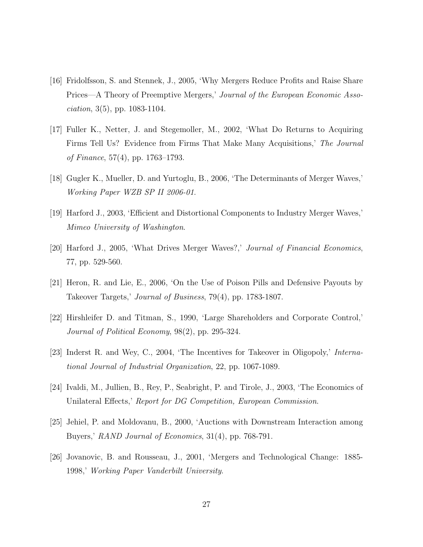- [16] Fridolfsson, S. and Stennek, J., 2005, 'Why Mergers Reduce Profits and Raise Share Prices—A Theory of Preemptive Mergers,' Journal of the European Economic Asso*ciation*,  $3(5)$ , pp.  $1083-1104$ .
- [17] Fuller K., Netter, J. and Stegemoller, M., 2002, 'What Do Returns to Acquiring Firms Tell Us? Evidence from Firms That Make Many Acquisitions,' The Journal of Finance, 57(4), pp. 1763–1793.
- [18] Gugler K., Mueller, D. and Yurtoglu, B., 2006, 'The Determinants of Merger Waves,' Working Paper WZB SP II 2006-01.
- [19] Harford J., 2003, 'Efficient and Distortional Components to Industry Merger Waves,' Mimeo University of Washington.
- [20] Harford J., 2005, 'What Drives Merger Waves?,' Journal of Financial Economics, 77, pp. 529-560.
- [21] Heron, R. and Lie, E., 2006, 'On the Use of Poison Pills and Defensive Payouts by Takeover Targets,' Journal of Business, 79(4), pp. 1783-1807.
- [22] Hirshleifer D. and Titman, S., 1990, 'Large Shareholders and Corporate Control,' Journal of Political Economy, 98(2), pp. 295-324.
- [23] Inderst R. and Wey, C., 2004, 'The Incentives for Takeover in Oligopoly,' International Journal of Industrial Organization, 22, pp. 1067-1089.
- [24] Ivaldi, M., Jullien, B., Rey, P., Seabright, P. and Tirole, J., 2003, 'The Economics of Unilateral Effects,' Report for DG Competition, European Commission.
- [25] Jehiel, P. and Moldovanu, B., 2000, 'Auctions with Downstream Interaction among Buyers,' RAND Journal of Economics, 31(4), pp. 768-791.
- [26] Jovanovic, B. and Rousseau, J., 2001, 'Mergers and Technological Change: 1885- 1998,' Working Paper Vanderbilt University.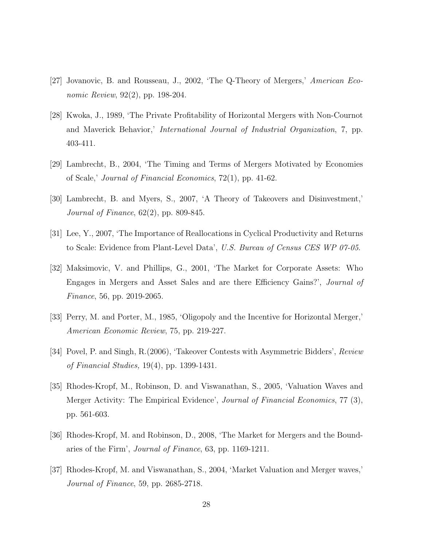- [27] Jovanovic, B. and Rousseau, J., 2002, 'The Q-Theory of Mergers,' American Economic Review, 92(2), pp. 198-204.
- [28] Kwoka, J., 1989, 'The Private Profitability of Horizontal Mergers with Non-Cournot and Maverick Behavior,' International Journal of Industrial Organization, 7, pp. 403-411.
- [29] Lambrecht, B., 2004, 'The Timing and Terms of Mergers Motivated by Economies of Scale,' Journal of Financial Economics, 72(1), pp. 41-62.
- [30] Lambrecht, B. and Myers, S., 2007, 'A Theory of Takeovers and Disinvestment,' Journal of Finance, 62(2), pp. 809-845.
- [31] Lee, Y., 2007, 'The Importance of Reallocations in Cyclical Productivity and Returns to Scale: Evidence from Plant-Level Data', U.S. Bureau of Census CES WP 07-05.
- [32] Maksimovic, V. and Phillips, G., 2001, 'The Market for Corporate Assets: Who Engages in Mergers and Asset Sales and are there Efficiency Gains?', Journal of Finance, 56, pp. 2019-2065.
- [33] Perry, M. and Porter, M., 1985, 'Oligopoly and the Incentive for Horizontal Merger,' American Economic Review, 75, pp. 219-227.
- [34] Povel, P. and Singh, R.(2006), 'Takeover Contests with Asymmetric Bidders', Review of Financial Studies, 19(4), pp. 1399-1431.
- [35] Rhodes-Kropf, M., Robinson, D. and Viswanathan, S., 2005, 'Valuation Waves and Merger Activity: The Empirical Evidence', Journal of Financial Economics, 77 (3), pp. 561-603.
- [36] Rhodes-Kropf, M. and Robinson, D., 2008, 'The Market for Mergers and the Boundaries of the Firm', Journal of Finance, 63, pp. 1169-1211.
- [37] Rhodes-Kropf, M. and Viswanathan, S., 2004, 'Market Valuation and Merger waves,' Journal of Finance, 59, pp. 2685-2718.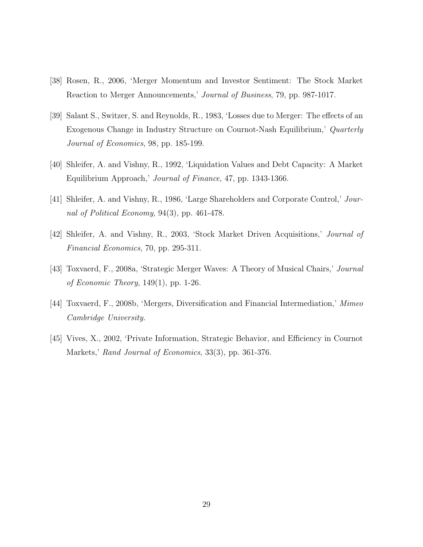- [38] Rosen, R., 2006, 'Merger Momentum and Investor Sentiment: The Stock Market Reaction to Merger Announcements,' Journal of Business, 79, pp. 987-1017.
- [39] Salant S., Switzer, S. and Reynolds, R., 1983, 'Losses due to Merger: The effects of an Exogenous Change in Industry Structure on Cournot-Nash Equilibrium,' Quarterly Journal of Economics, 98, pp. 185-199.
- [40] Shleifer, A. and Vishny, R., 1992, 'Liquidation Values and Debt Capacity: A Market Equilibrium Approach,' Journal of Finance, 47, pp. 1343-1366.
- [41] Shleifer, A. and Vishny, R., 1986, 'Large Shareholders and Corporate Control,' Journal of Political Economy, 94(3), pp. 461-478.
- [42] Shleifer, A. and Vishny, R., 2003, 'Stock Market Driven Acquisitions,' Journal of Financial Economics, 70, pp. 295-311.
- [43] Toxvaerd, F., 2008a, 'Strategic Merger Waves: A Theory of Musical Chairs,' Journal of Economic Theory,  $149(1)$ , pp. 1-26.
- [44] Toxvaerd, F., 2008b, 'Mergers, Diversification and Financial Intermediation,' Mimeo Cambridge University.
- [45] Vives, X., 2002, 'Private Information, Strategic Behavior, and Efficiency in Cournot Markets,' Rand Journal of Economics, 33(3), pp. 361-376.